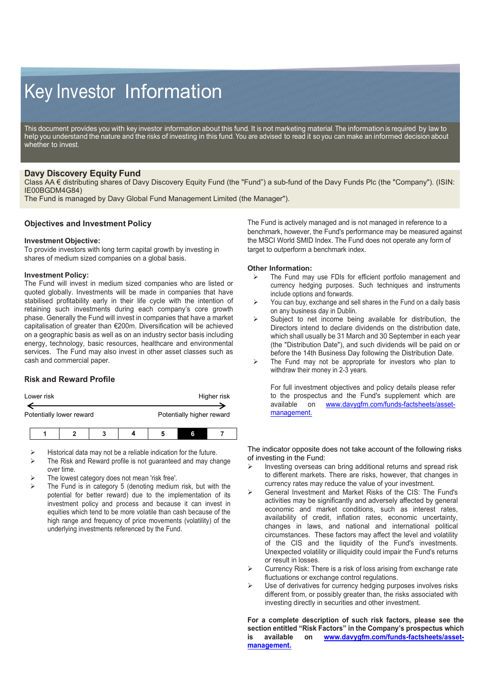# Key Investor Information

This document provides you with key investor information about this fund. It is not marketing material. The information is required by law to help you understand the nature and the risks of investing in this fund. You are advised to read it so you can make an informed decision about whether to invest.

## **Davy Discovery Equity Fund**

Class AA € distributing shares of Davy Discovery Equity Fund (the "Fund") a sub-fund of the Davy Funds Plc (the "Company"). (ISIN: IE00BGDM4G84)

The Fund is managed by Davy Global Fund Management Limited (the Manager").

## **Objectives and Investment Policy**

#### **Investment Objective:**

To provide investors with long term capital growth by investing in shares of medium sized companies on a global basis.

#### **Investment Policy:**

The Fund will invest in medium sized companies who are listed or quoted globally. Investments will be made in companies that have stabilised profitability early in their life cycle with the intention of retaining such investments during each company's core growth phase. Generally the Fund will invest in companies that have a market capitalisation of greater than €200m. Diversification will be achieved on a geographic basis as well as on an industry sector basis including energy, technology, basic resources, healthcare and environmental services. The Fund may also invest in other asset classes such as cash and commercial paper.

## **Risk and Reward Profile**

| Lower risk |                          |  | Higher risk               |   |  |
|------------|--------------------------|--|---------------------------|---|--|
|            | Potentially lower reward |  | Potentially higher reward |   |  |
|            |                          |  |                           |   |  |
|            |                          |  |                           | R |  |

|  | Historical data may not be a reliable indication for the future. |
|--|------------------------------------------------------------------|
|--|------------------------------------------------------------------|

- The Risk and Reward profile is not guaranteed and may change over time.
- The lowest category does not mean 'risk free'.
- The Fund is in category 5 (denoting medium risk, but with the potential for better reward) due to the implementation of its investment policy and process and because it can invest in equities which tend to be more volatile than cash because of the high range and frequency of price movements (volatility) of the underlying investments referenced by the Fund.

The Fund is actively managed and is not managed in reference to a benchmark, however, the Fund's performance may be measured against the MSCI World SMID Index. The Fund does not operate any form of target to outperform a benchmark index.

#### **Other Information:**

- The Fund may use FDIs for efficient portfolio management and currency hedging purposes. Such techniques and instruments include options and forwards.
- $\triangleright$  You can buy, exchange and sell shares in the Fund on a daily basis on any business day in Dublin.
- $\triangleright$  Subject to net income being available for distribution, the Directors intend to declare dividends on the distribution date, which shall usually be 31 March and 30 September in each year (the "Distribution Date"), and such dividends will be paid on or before the 14th Business Day following the Distribution Date.
- $\triangleright$  The Fund may not be appropriate for investors who plan to withdraw their money in 2-3 years.

For full investment objectives and policy details please refer to the prospectus and the Fund's supplement which are available on www.davyqfm.com/funds-factsheets/asset[www.davygfm.com/funds-factsheets/asset](http://www.davygfm.com/funds-factsheets/asset-management.)[management.](http://www.davygfm.com/funds-factsheets/asset-management.)

The indicator opposite does not take account of the following risks of investing in the Fund:

- Investing overseas can bring additional returns and spread risk to different markets. There are risks, however, that changes in currency rates may reduce the value of your investment.
- General Investment and Market Risks of the CIS: The Fund's activities may be significantly and adversely affected by general economic and market conditions, such as interest rates, availability of credit, inflation rates, economic uncertainty, changes in laws, and national and international political circumstances. These factors may affect the level and volatility of the CIS and the liquidity of the Fund's investments. Unexpected volatility or illiquidity could impair the Fund's returns or result in losses.
- $\triangleright$  Currency Risk: There is a risk of loss arising from exchange rate fluctuations or exchange control regulations.
- $\triangleright$  Use of derivatives for currency hedging purposes involves risks different from, or possibly greater than, the risks associated with investing directly in securities and other investment.

**For a complete description of such risk factors, please see the section entitled "Risk Factors" in the Company's prospectus which is available on [www.davygfm.com/funds-factsheets/asset](http://www.davygfm.com/funds-factsheets/asset-management.)[management.](http://www.davygfm.com/funds-factsheets/asset-management.)**